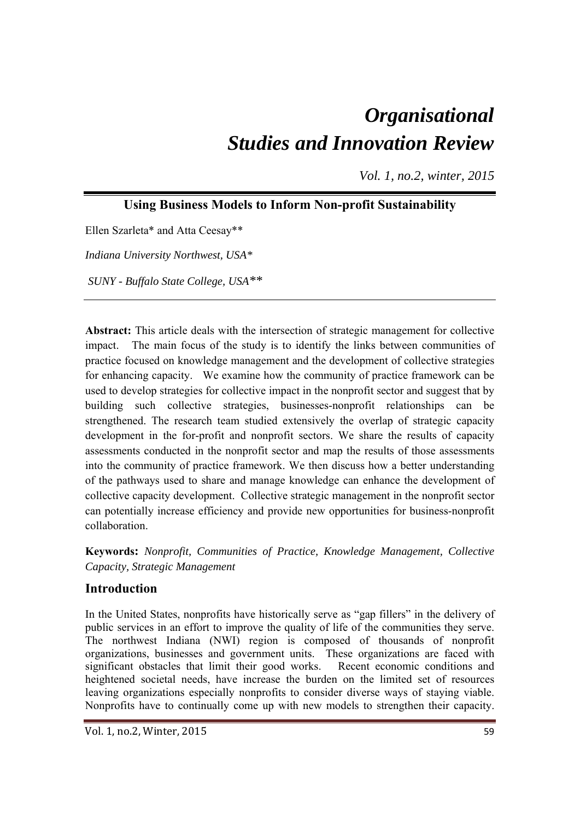# *Organisational Studies and Innovation Review*

*Vol. 1, no.2, winter, 2015*

# **Using Business Models to Inform Non-profit Sustainability**

Ellen Szarleta\* and Atta Ceesay\*\*

*Indiana University Northwest, USA\** 

 *SUNY - Buffalo State College, USA\*\** 

**Abstract:** This article deals with the intersection of strategic management for collective impact. The main focus of the study is to identify the links between communities of practice focused on knowledge management and the development of collective strategies for enhancing capacity. We examine how the community of practice framework can be used to develop strategies for collective impact in the nonprofit sector and suggest that by building such collective strategies, businesses-nonprofit relationships can be strengthened. The research team studied extensively the overlap of strategic capacity development in the for-profit and nonprofit sectors. We share the results of capacity assessments conducted in the nonprofit sector and map the results of those assessments into the community of practice framework. We then discuss how a better understanding of the pathways used to share and manage knowledge can enhance the development of collective capacity development. Collective strategic management in the nonprofit sector can potentially increase efficiency and provide new opportunities for business-nonprofit collaboration.

**Keywords:** *Nonprofit, Communities of Practice, Knowledge Management, Collective Capacity, Strategic Management* 

## **Introduction**

In the United States, nonprofits have historically serve as "gap fillers" in the delivery of public services in an effort to improve the quality of life of the communities they serve. The northwest Indiana (NWI) region is composed of thousands of nonprofit organizations, businesses and government units. These organizations are faced with significant obstacles that limit their good works. Recent economic conditions and heightened societal needs, have increase the burden on the limited set of resources leaving organizations especially nonprofits to consider diverse ways of staying viable. Nonprofits have to continually come up with new models to strengthen their capacity.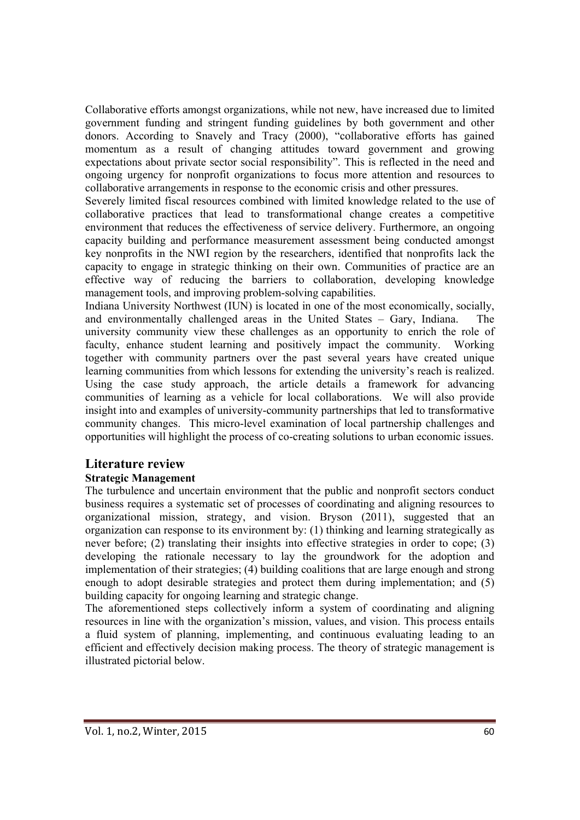Collaborative efforts amongst organizations, while not new, have increased due to limited government funding and stringent funding guidelines by both government and other donors. According to Snavely and Tracy (2000), "collaborative efforts has gained momentum as a result of changing attitudes toward government and growing expectations about private sector social responsibility". This is reflected in the need and ongoing urgency for nonprofit organizations to focus more attention and resources to collaborative arrangements in response to the economic crisis and other pressures.

Severely limited fiscal resources combined with limited knowledge related to the use of collaborative practices that lead to transformational change creates a competitive environment that reduces the effectiveness of service delivery. Furthermore, an ongoing capacity building and performance measurement assessment being conducted amongst key nonprofits in the NWI region by the researchers, identified that nonprofits lack the capacity to engage in strategic thinking on their own. Communities of practice are an effective way of reducing the barriers to collaboration, developing knowledge management tools, and improving problem-solving capabilities.

Indiana University Northwest (IUN) is located in one of the most economically, socially, and environmentally challenged areas in the United States – Gary, Indiana. The university community view these challenges as an opportunity to enrich the role of faculty, enhance student learning and positively impact the community. Working together with community partners over the past several years have created unique learning communities from which lessons for extending the university's reach is realized. Using the case study approach, the article details a framework for advancing communities of learning as a vehicle for local collaborations. We will also provide insight into and examples of university-community partnerships that led to transformative community changes. This micro-level examination of local partnership challenges and opportunities will highlight the process of co-creating solutions to urban economic issues.

## **Literature review**

## **Strategic Management**

The turbulence and uncertain environment that the public and nonprofit sectors conduct business requires a systematic set of processes of coordinating and aligning resources to organizational mission, strategy, and vision. Bryson (2011), suggested that an organization can response to its environment by: (1) thinking and learning strategically as never before; (2) translating their insights into effective strategies in order to cope; (3) developing the rationale necessary to lay the groundwork for the adoption and implementation of their strategies; (4) building coalitions that are large enough and strong enough to adopt desirable strategies and protect them during implementation; and (5) building capacity for ongoing learning and strategic change.

The aforementioned steps collectively inform a system of coordinating and aligning resources in line with the organization's mission, values, and vision. This process entails a fluid system of planning, implementing, and continuous evaluating leading to an efficient and effectively decision making process. The theory of strategic management is illustrated pictorial below.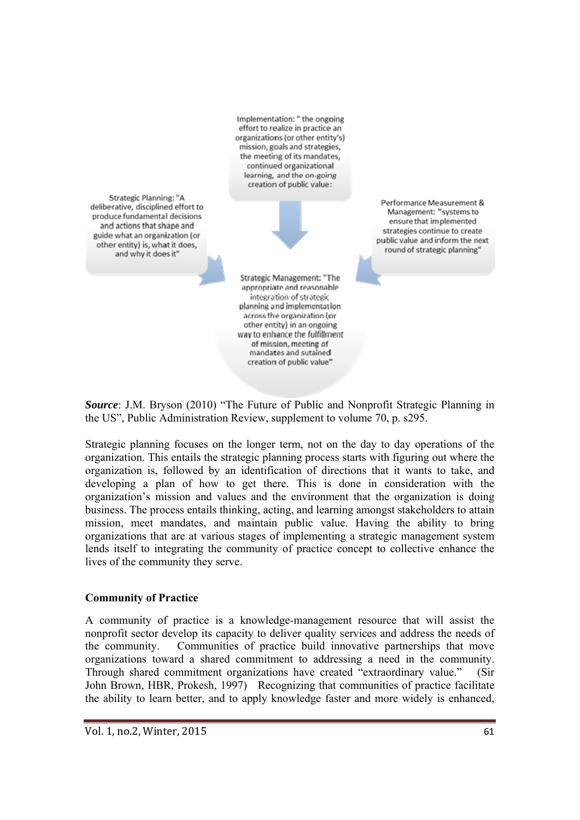Implementation: " the ongoing effort to realize in practice an organizations (or other entity's) mission, goals and strategies, the meeting of its mandates. continued organizational learning, and the on-going creation of public value:

Strategic Planning: "A deliberative, disciplined effort to produce fundamental decisions and actions that shape and guide what an organization (or other entity) is, what it does, and why it does it"

Performance Measurement & Management: "systems to ensure that implemented strategies continue to create public value and inform the next round of strategic planning"

Strategic Management: "The appropriate and reasonable integration of strategic planning and implementation across the organization (or other entity) in an ongoing way to enhance the fulfillment of mission, meeting of mandates and sutained creation of public value"

*Source*: J.M. Bryson (2010) "The Future of Public and Nonprofit Strategic Planning in the US", Public Administration Review, supplement to volume 70, p. s295.

Strategic planning focuses on the longer term, not on the day to day operations of the organization. This entails the strategic planning process starts with figuring out where the organization is, followed by an identification of directions that it wants to take, and developing a plan of how to get there. This is done in consideration with the organization's mission and values and the environment that the organization is doing business. The process entails thinking, acting, and learning amongst stakeholders to attain mission, meet mandates, and maintain public value. Having the ability to bring organizations that are at various stages of implementing a strategic management system lends itself to integrating the community of practice concept to collective enhance the lives of the community they serve.

## **Community of Practice**

A community of practice is a knowledge-management resource that will assist the nonprofit sector develop its capacity to deliver quality services and address the needs of the community. Communities of practice build innovative partnerships that move organizations toward a shared commitment to addressing a need in the community. Through shared commitment organizations have created "extraordinary value." (Sir John Brown, HBR, Prokesh, 1997) Recognizing that communities of practice facilitate the ability to learn better, and to apply knowledge faster and more widely is enhanced,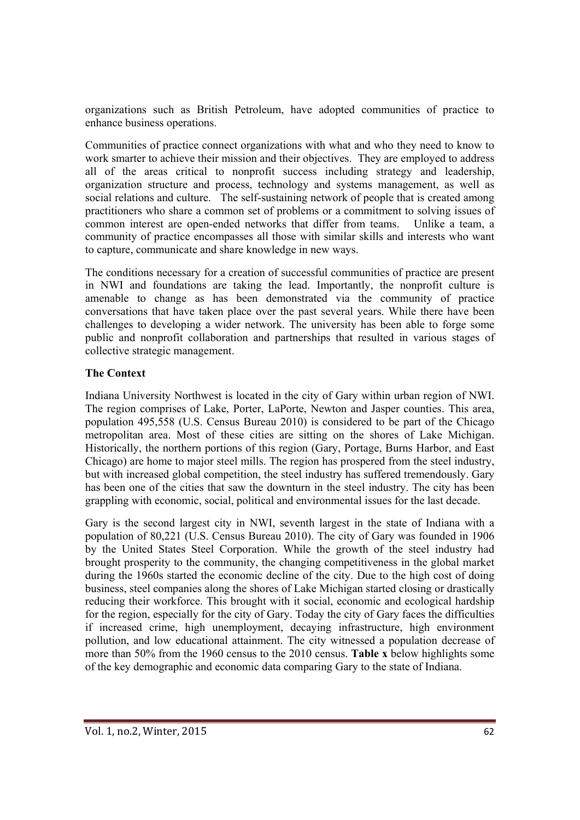organizations such as British Petroleum, have adopted communities of practice to enhance business operations.

Communities of practice connect organizations with what and who they need to know to work smarter to achieve their mission and their objectives. They are employed to address all of the areas critical to nonprofit success including strategy and leadership, organization structure and process, technology and systems management, as well as social relations and culture. The self-sustaining network of people that is created among practitioners who share a common set of problems or a commitment to solving issues of common interest are open-ended networks that differ from teams. Unlike a team, a community of practice encompasses all those with similar skills and interests who want to capture, communicate and share knowledge in new ways.

The conditions necessary for a creation of successful communities of practice are present in NWI and foundations are taking the lead. Importantly, the nonprofit culture is amenable to change as has been demonstrated via the community of practice conversations that have taken place over the past several years. While there have been challenges to developing a wider network. The university has been able to forge some public and nonprofit collaboration and partnerships that resulted in various stages of collective strategic management.

### **The Context**

Indiana University Northwest is located in the city of Gary within urban region of NWI. The region comprises of Lake, Porter, LaPorte, Newton and Jasper counties. This area, population 495,558 (U.S. Census Bureau 2010) is considered to be part of the Chicago metropolitan area. Most of these cities are sitting on the shores of Lake Michigan. Historically, the northern portions of this region (Gary, Portage, Burns Harbor, and East Chicago) are home to major steel mills. The region has prospered from the steel industry, but with increased global competition, the steel industry has suffered tremendously. Gary has been one of the cities that saw the downturn in the steel industry. The city has been grappling with economic, social, political and environmental issues for the last decade.

Gary is the second largest city in NWI, seventh largest in the state of Indiana with a population of 80,221 (U.S. Census Bureau 2010). The city of Gary was founded in 1906 by the United States Steel Corporation. While the growth of the steel industry had brought prosperity to the community, the changing competitiveness in the global market during the 1960s started the economic decline of the city. Due to the high cost of doing business, steel companies along the shores of Lake Michigan started closing or drastically reducing their workforce. This brought with it social, economic and ecological hardship for the region, especially for the city of Gary. Today the city of Gary faces the difficulties if increased crime, high unemployment, decaying infrastructure, high environment pollution, and low educational attainment. The city witnessed a population decrease of more than 50% from the 1960 census to the 2010 census. **Table x** below highlights some of the key demographic and economic data comparing Gary to the state of Indiana.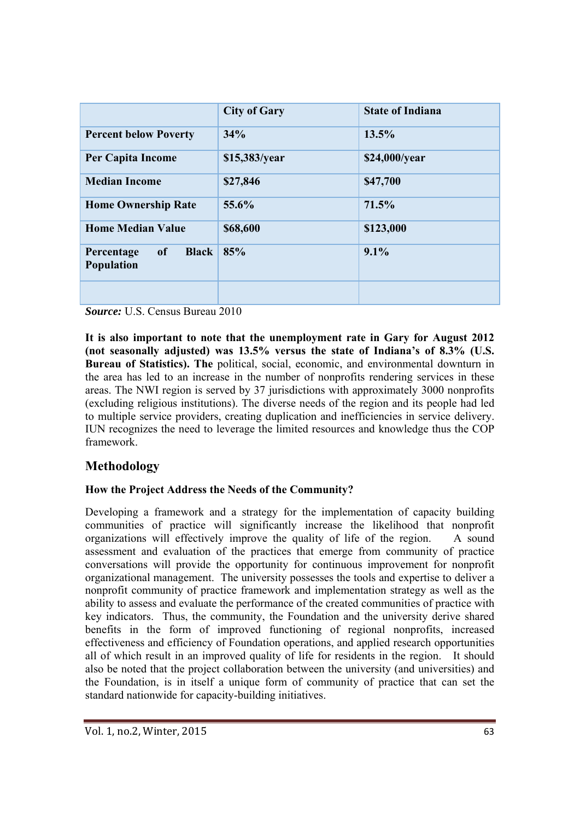|                                                       | <b>City of Gary</b> | <b>State of Indiana</b> |
|-------------------------------------------------------|---------------------|-------------------------|
| <b>Percent below Poverty</b>                          | 34%                 | 13.5%                   |
| Per Capita Income                                     | \$15,383/year       | \$24,000/year           |
| <b>Median Income</b>                                  | \$27,846            | \$47,700                |
| <b>Home Ownership Rate</b>                            | 55.6%               | 71.5%                   |
| <b>Home Median Value</b>                              | \$68,600            | \$123,000               |
| of<br><b>Black</b><br>Percentage<br><b>Population</b> | 85%                 | 9.1%                    |
|                                                       |                     |                         |

*Source:* U.S. Census Bureau 2010

**It is also important to note that the unemployment rate in Gary for August 2012 (not seasonally adjusted) was 13.5% versus the state of Indiana's of 8.3% (U.S. Bureau of Statistics). The** political, social, economic, and environmental downturn in the area has led to an increase in the number of nonprofits rendering services in these areas. The NWI region is served by 37 jurisdictions with approximately 3000 nonprofits (excluding religious institutions). The diverse needs of the region and its people had led to multiple service providers, creating duplication and inefficiencies in service delivery. IUN recognizes the need to leverage the limited resources and knowledge thus the COP framework.

# **Methodology**

#### **How the Project Address the Needs of the Community?**

Developing a framework and a strategy for the implementation of capacity building communities of practice will significantly increase the likelihood that nonprofit organizations will effectively improve the quality of life of the region. A sound assessment and evaluation of the practices that emerge from community of practice conversations will provide the opportunity for continuous improvement for nonprofit organizational management. The university possesses the tools and expertise to deliver a nonprofit community of practice framework and implementation strategy as well as the ability to assess and evaluate the performance of the created communities of practice with key indicators. Thus, the community, the Foundation and the university derive shared benefits in the form of improved functioning of regional nonprofits, increased effectiveness and efficiency of Foundation operations, and applied research opportunities all of which result in an improved quality of life for residents in the region. It should also be noted that the project collaboration between the university (and universities) and the Foundation, is in itself a unique form of community of practice that can set the standard nationwide for capacity-building initiatives.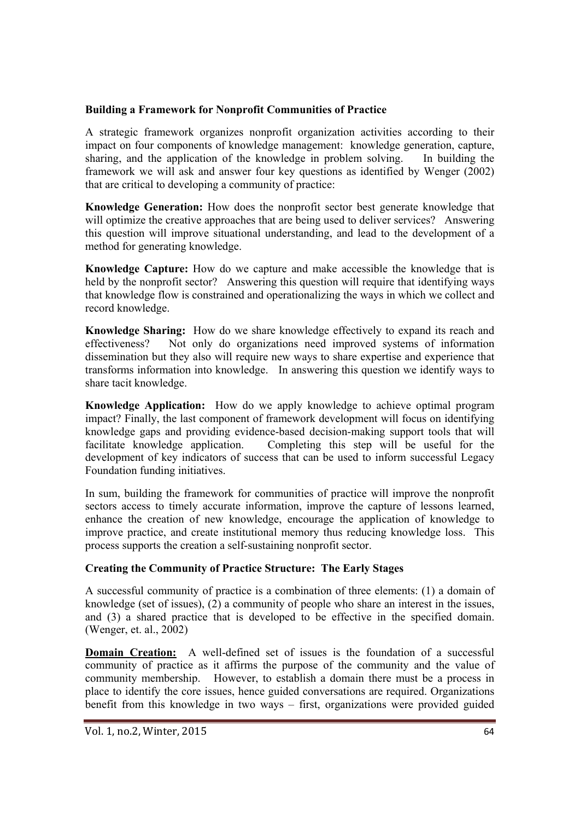#### **Building a Framework for Nonprofit Communities of Practice**

A strategic framework organizes nonprofit organization activities according to their impact on four components of knowledge management: knowledge generation, capture, sharing, and the application of the knowledge in problem solving. In building the framework we will ask and answer four key questions as identified by Wenger (2002) that are critical to developing a community of practice:

**Knowledge Generation:** How does the nonprofit sector best generate knowledge that will optimize the creative approaches that are being used to deliver services? Answering this question will improve situational understanding, and lead to the development of a method for generating knowledge.

**Knowledge Capture:** How do we capture and make accessible the knowledge that is held by the nonprofit sector? Answering this question will require that identifying ways that knowledge flow is constrained and operationalizing the ways in which we collect and record knowledge.

**Knowledge Sharing:** How do we share knowledge effectively to expand its reach and effectiveness? Not only do organizations need improved systems of information dissemination but they also will require new ways to share expertise and experience that transforms information into knowledge. In answering this question we identify ways to share tacit knowledge.

**Knowledge Application:** How do we apply knowledge to achieve optimal program impact? Finally, the last component of framework development will focus on identifying knowledge gaps and providing evidence-based decision-making support tools that will facilitate knowledge application. Completing this step will be useful for the development of key indicators of success that can be used to inform successful Legacy Foundation funding initiatives.

In sum, building the framework for communities of practice will improve the nonprofit sectors access to timely accurate information, improve the capture of lessons learned, enhance the creation of new knowledge, encourage the application of knowledge to improve practice, and create institutional memory thus reducing knowledge loss. This process supports the creation a self-sustaining nonprofit sector.

#### **Creating the Community of Practice Structure: The Early Stages**

A successful community of practice is a combination of three elements: (1) a domain of knowledge (set of issues), (2) a community of people who share an interest in the issues, and (3) a shared practice that is developed to be effective in the specified domain. (Wenger, et. al., 2002)

**Domain Creation:** A well-defined set of issues is the foundation of a successful community of practice as it affirms the purpose of the community and the value of community membership. However, to establish a domain there must be a process in place to identify the core issues, hence guided conversations are required. Organizations benefit from this knowledge in two ways – first, organizations were provided guided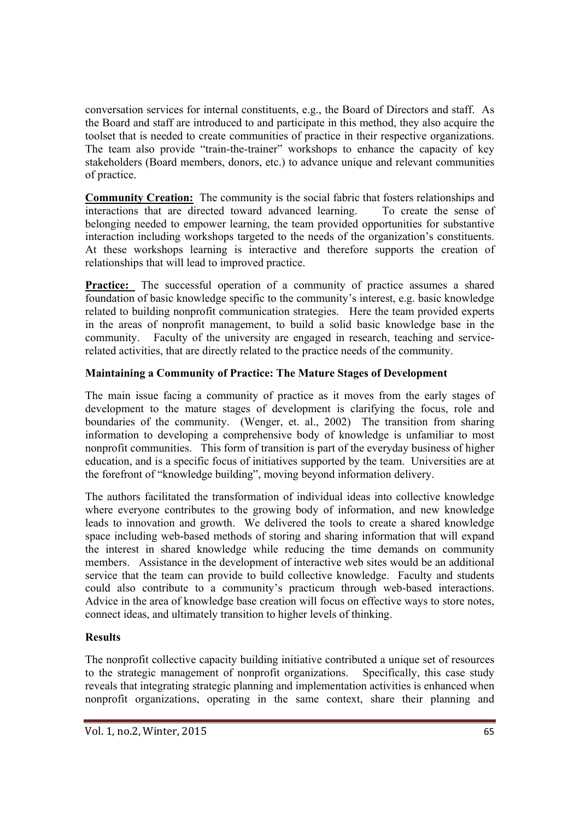conversation services for internal constituents, e.g., the Board of Directors and staff. As the Board and staff are introduced to and participate in this method, they also acquire the toolset that is needed to create communities of practice in their respective organizations. The team also provide "train-the-trainer" workshops to enhance the capacity of key stakeholders (Board members, donors, etc.) to advance unique and relevant communities of practice.

**Community Creation:** The community is the social fabric that fosters relationships and interactions that are directed toward advanced learning. To create the sense of belonging needed to empower learning, the team provided opportunities for substantive interaction including workshops targeted to the needs of the organization's constituents. At these workshops learning is interactive and therefore supports the creation of relationships that will lead to improved practice.

**Practice:** The successful operation of a community of practice assumes a shared foundation of basic knowledge specific to the community's interest, e.g. basic knowledge related to building nonprofit communication strategies. Here the team provided experts in the areas of nonprofit management, to build a solid basic knowledge base in the community. Faculty of the university are engaged in research, teaching and servicerelated activities, that are directly related to the practice needs of the community.

## **Maintaining a Community of Practice: The Mature Stages of Development**

The main issue facing a community of practice as it moves from the early stages of development to the mature stages of development is clarifying the focus, role and boundaries of the community. (Wenger, et. al., 2002) The transition from sharing information to developing a comprehensive body of knowledge is unfamiliar to most nonprofit communities. This form of transition is part of the everyday business of higher education, and is a specific focus of initiatives supported by the team. Universities are at the forefront of "knowledge building", moving beyond information delivery.

The authors facilitated the transformation of individual ideas into collective knowledge where everyone contributes to the growing body of information, and new knowledge leads to innovation and growth. We delivered the tools to create a shared knowledge space including web-based methods of storing and sharing information that will expand the interest in shared knowledge while reducing the time demands on community members. Assistance in the development of interactive web sites would be an additional service that the team can provide to build collective knowledge. Faculty and students could also contribute to a community's practicum through web-based interactions. Advice in the area of knowledge base creation will focus on effective ways to store notes, connect ideas, and ultimately transition to higher levels of thinking.

## **Results**

The nonprofit collective capacity building initiative contributed a unique set of resources to the strategic management of nonprofit organizations. Specifically, this case study reveals that integrating strategic planning and implementation activities is enhanced when nonprofit organizations, operating in the same context, share their planning and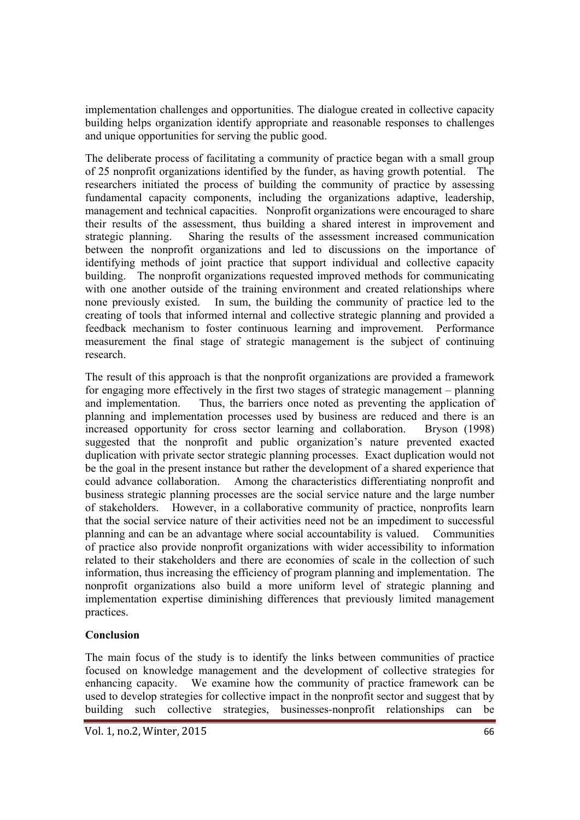implementation challenges and opportunities. The dialogue created in collective capacity building helps organization identify appropriate and reasonable responses to challenges and unique opportunities for serving the public good.

The deliberate process of facilitating a community of practice began with a small group of 25 nonprofit organizations identified by the funder, as having growth potential. The researchers initiated the process of building the community of practice by assessing fundamental capacity components, including the organizations adaptive, leadership, management and technical capacities. Nonprofit organizations were encouraged to share their results of the assessment, thus building a shared interest in improvement and strategic planning. Sharing the results of the assessment increased communication between the nonprofit organizations and led to discussions on the importance of identifying methods of joint practice that support individual and collective capacity building. The nonprofit organizations requested improved methods for communicating with one another outside of the training environment and created relationships where none previously existed. In sum, the building the community of practice led to the creating of tools that informed internal and collective strategic planning and provided a feedback mechanism to foster continuous learning and improvement. Performance measurement the final stage of strategic management is the subject of continuing research.

The result of this approach is that the nonprofit organizations are provided a framework for engaging more effectively in the first two stages of strategic management – planning and implementation. Thus, the barriers once noted as preventing the application of planning and implementation processes used by business are reduced and there is an increased opportunity for cross sector learning and collaboration. Bryson (1998) suggested that the nonprofit and public organization's nature prevented exacted duplication with private sector strategic planning processes. Exact duplication would not be the goal in the present instance but rather the development of a shared experience that could advance collaboration. Among the characteristics differentiating nonprofit and business strategic planning processes are the social service nature and the large number of stakeholders. However, in a collaborative community of practice, nonprofits learn that the social service nature of their activities need not be an impediment to successful planning and can be an advantage where social accountability is valued. Communities of practice also provide nonprofit organizations with wider accessibility to information related to their stakeholders and there are economies of scale in the collection of such information, thus increasing the efficiency of program planning and implementation. The nonprofit organizations also build a more uniform level of strategic planning and implementation expertise diminishing differences that previously limited management practices.

#### **Conclusion**

The main focus of the study is to identify the links between communities of practice focused on knowledge management and the development of collective strategies for enhancing capacity. We examine how the community of practice framework can be used to develop strategies for collective impact in the nonprofit sector and suggest that by building such collective strategies, businesses-nonprofit relationships can be